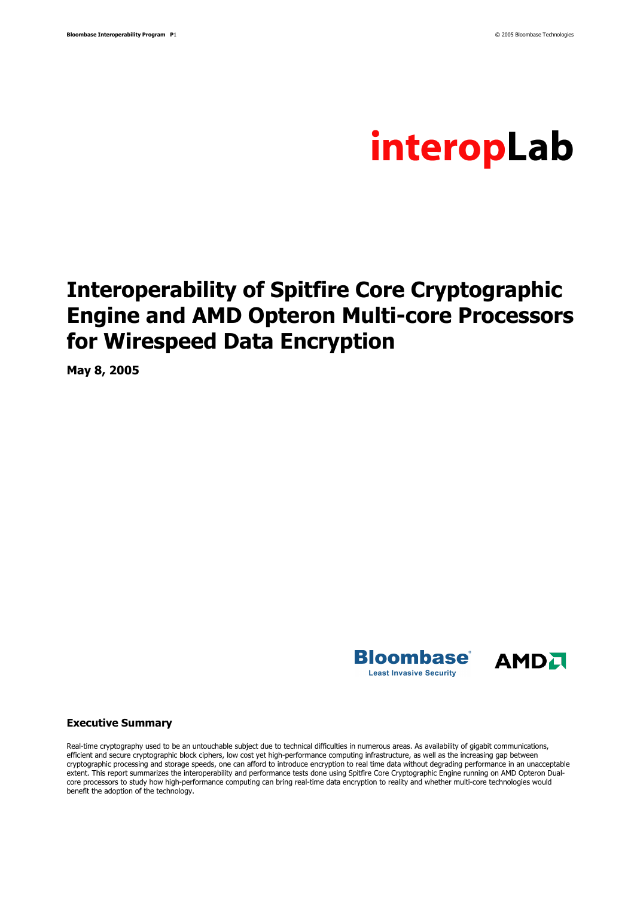

## **Interoperability of Spitfire Core Cryptographic Engine and AMD Opteron Multi-core Processors for Wirespeed Data Encryption**

**May 8, 2005** 





#### **Executive Summary**

Real-time cryptography used to be an untouchable subject due to technical difficulties in numerous areas. As availability of gigabit communications, efficient and secure cryptographic block ciphers, low cost yet high-performance computing infrastructure, as well as the increasing gap between cryptographic processing and storage speeds, one can afford to introduce encryption to real time data without degrading performance in an unacceptable extent. This report summarizes the interoperability and performance tests done using Spitfire Core Cryptographic Engine running on AMD Opteron Dualcore processors to study how high-performance computing can bring real-time data encryption to reality and whether multi-core technologies would benefit the adoption of the technology.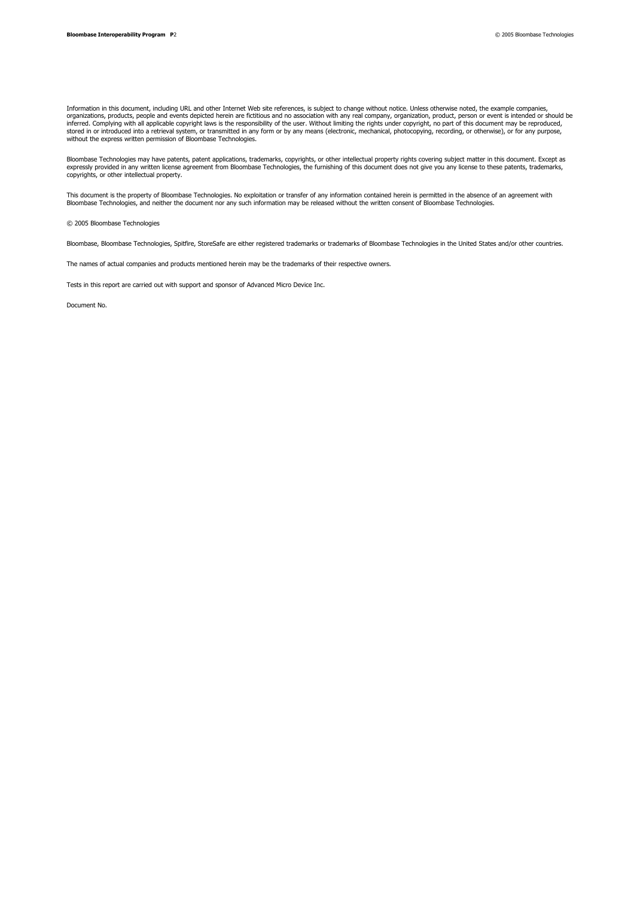Information in this document, including URL and other Internet Web site references, is subject to change without notice. Unless otherwise noted, the example companies,<br>organizations, products, people and events depicted he

Bloombase Technologies may have patents, patent applications, trademarks, copyrights, or other intellectual property rights covering subject matter in this document. Except as<br>expressly provided in any written license agre copyrights, or other intellectual property.

This document is the property of Bloombase Technologies. No exploitation or transfer of any information contained herein is permitted in the absence of an agreement with Bloombase Technologies, and neither the document nor any such information may be released without the written consent of Bloombase Technologies.

© 2005 Bloombase Technologies

Bloombase, Bloombase Technologies, Spitfire, StoreSafe are either registered trademarks or trademarks of Bloombase Technologies in the United States and/or other countries.

The names of actual companies and products mentioned herein may be the trademarks of their respective owners.

Tests in this report are carried out with support and sponsor of Advanced Micro Device Inc.

Document No.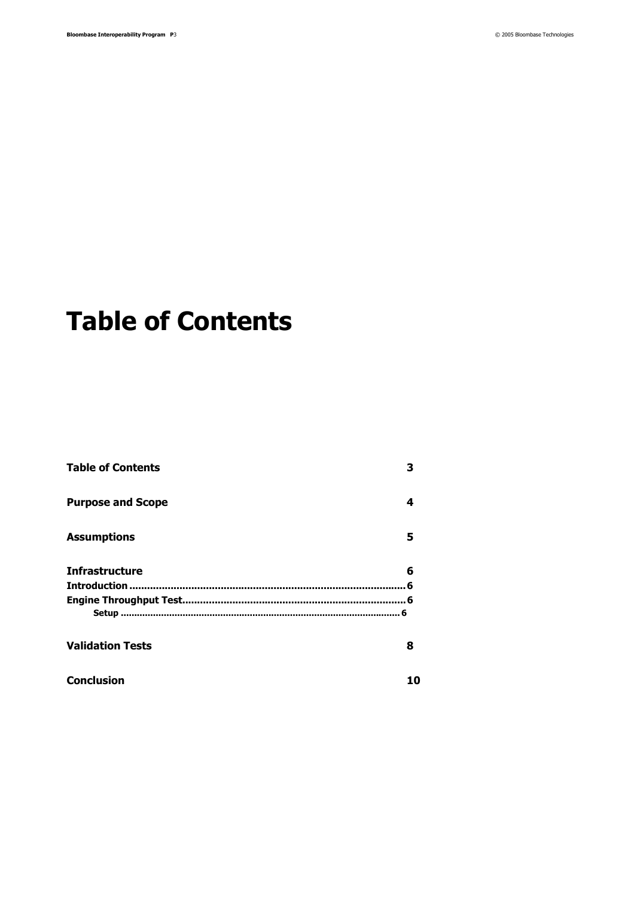# **Table of Contents**

| <b>Table of Contents</b> | 3  |
|--------------------------|----|
| <b>Purpose and Scope</b> | 4  |
| <b>Assumptions</b>       | 5  |
| <b>Infrastructure</b>    | 6  |
|                          |    |
|                          |    |
|                          |    |
| <b>Validation Tests</b>  | 8  |
| <b>Conclusion</b>        | 10 |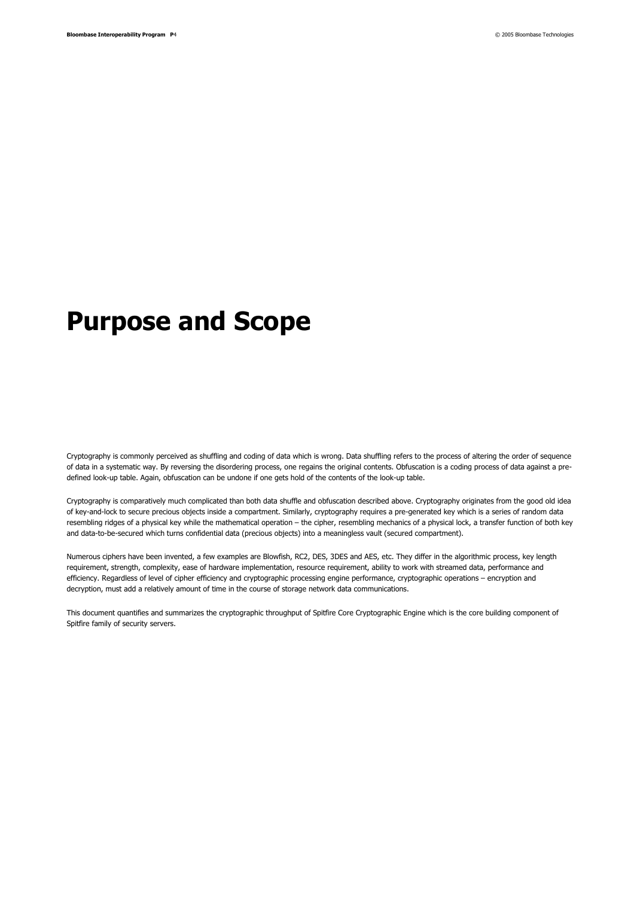## **Purpose and Scope**

Cryptography is commonly perceived as shuffling and coding of data which is wrong. Data shuffling refers to the process of altering the order of sequence of data in a systematic way. By reversing the disordering process, one regains the original contents. Obfuscation is a coding process of data against a predefined look-up table. Again, obfuscation can be undone if one gets hold of the contents of the look-up table.

Cryptography is comparatively much complicated than both data shuffle and obfuscation described above. Cryptography originates from the good old idea of key-and-lock to secure precious objects inside a compartment. Similarly, cryptography requires a pre-generated key which is a series of random data resembling ridges of a physical key while the mathematical operation – the cipher, resembling mechanics of a physical lock, a transfer function of both key and data-to-be-secured which turns confidential data (precious objects) into a meaningless vault (secured compartment).

Numerous ciphers have been invented, a few examples are Blowfish, RC2, DES, 3DES and AES, etc. They differ in the algorithmic process, key length requirement, strength, complexity, ease of hardware implementation, resource requirement, ability to work with streamed data, performance and efficiency. Regardless of level of cipher efficiency and cryptographic processing engine performance, cryptographic operations – encryption and decryption, must add a relatively amount of time in the course of storage network data communications.

This document quantifies and summarizes the cryptographic throughput of Spitfire Core Cryptographic Engine which is the core building component of Spitfire family of security servers.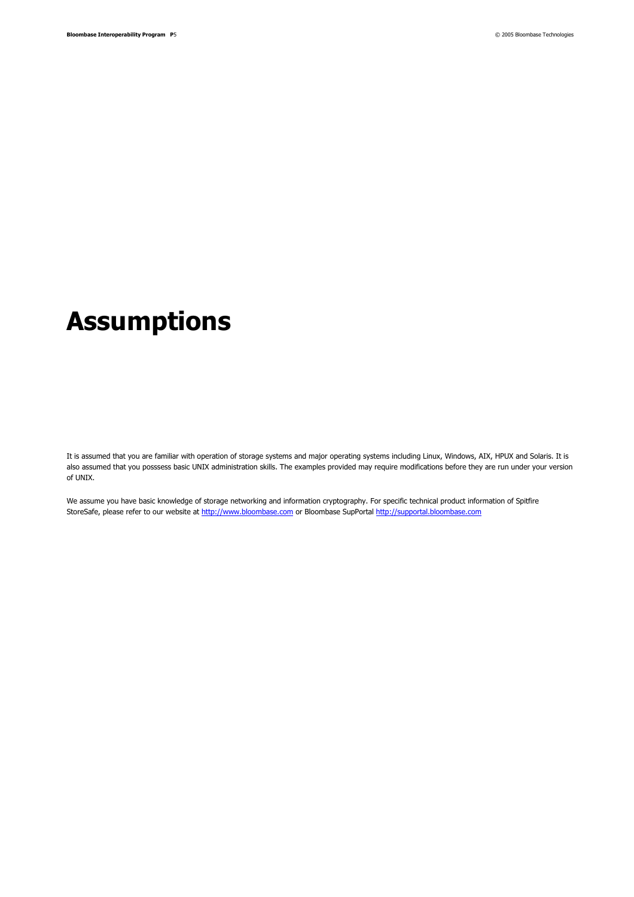## **Assumptions**

It is assumed that you are familiar with operation of storage systems and major operating systems including Linux, Windows, AIX, HPUX and Solaris. It is also assumed that you posssess basic UNIX administration skills. The examples provided may require modifications before they are run under your version of UNIX.

We assume you have basic knowledge of storage networking and information cryptography. For specific technical product information of Spitfire StoreSafe, please refer to our website at http://www.bloombase.com or Bloombase SupPortal http://supportal.bloombase.com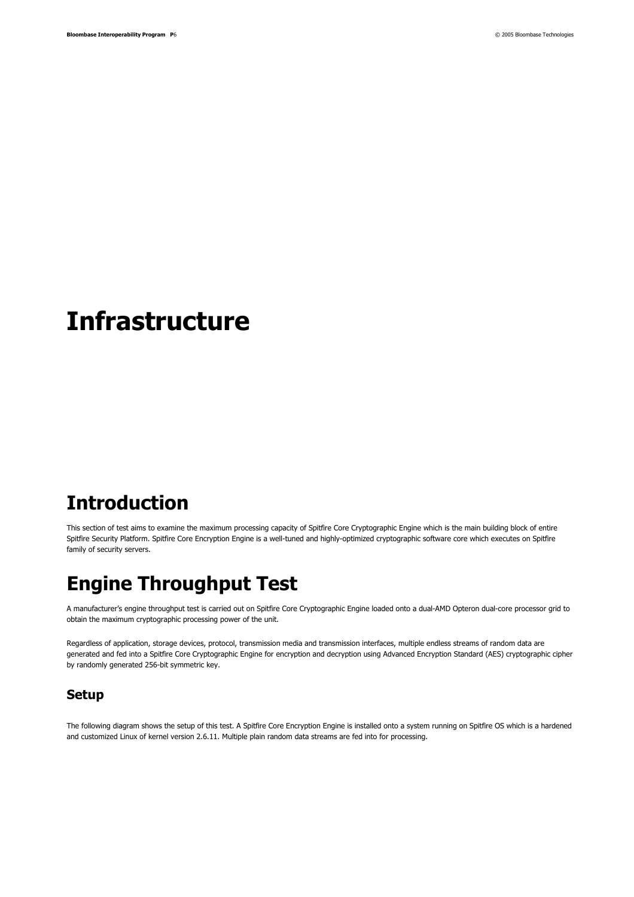## **Infrastructure**

### **Introduction**

This section of test aims to examine the maximum processing capacity of Spitfire Core Cryptographic Engine which is the main building block of entire Spitfire Security Platform. Spitfire Core Encryption Engine is a well-tuned and highly-optimized cryptographic software core which executes on Spitfire family of security servers.

### **Engine Throughput Test**

A manufacturer's engine throughput test is carried out on Spitfire Core Cryptographic Engine loaded onto a dual-AMD Opteron dual-core processor grid to obtain the maximum cryptographic processing power of the unit.

Regardless of application, storage devices, protocol, transmission media and transmission interfaces, multiple endless streams of random data are generated and fed into a Spitfire Core Cryptographic Engine for encryption and decryption using Advanced Encryption Standard (AES) cryptographic cipher by randomly generated 256-bit symmetric key.

### **Setup**

The following diagram shows the setup of this test. A Spitfire Core Encryption Engine is installed onto a system running on Spitfire OS which is a hardened and customized Linux of kernel version 2.6.11. Multiple plain random data streams are fed into for processing.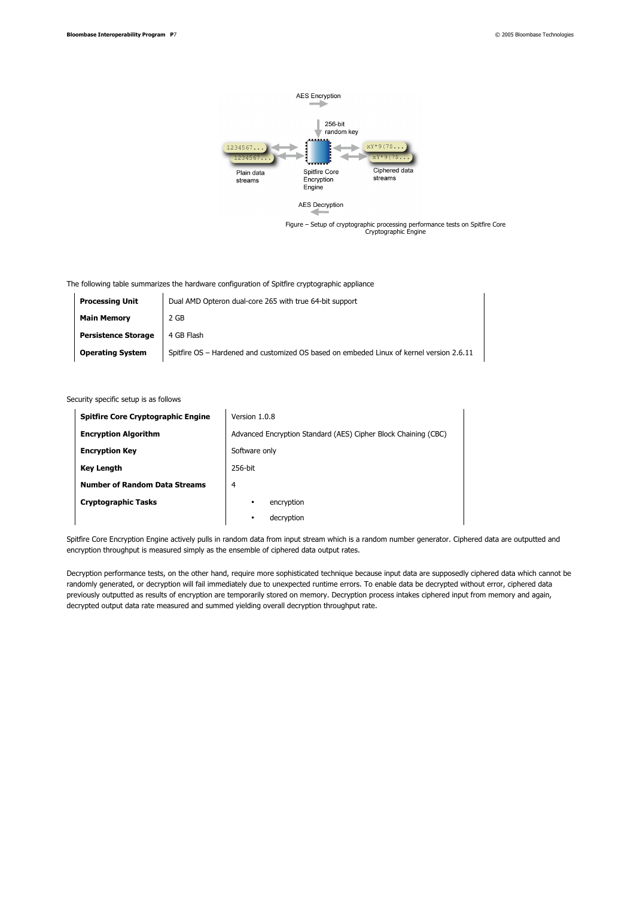

The following table summarizes the hardware configuration of Spitfire cryptographic appliance

| <b>Processing Unit</b>     | Dual AMD Opteron dual-core 265 with true 64-bit support                                  |  |  |
|----------------------------|------------------------------------------------------------------------------------------|--|--|
| <b>Main Memory</b>         | 2 GB                                                                                     |  |  |
| <b>Persistence Storage</b> | 4 GB Flash                                                                               |  |  |
| <b>Operating System</b>    | Spitfire OS - Hardened and customized OS based on embeded Linux of kernel version 2.6.11 |  |  |

#### Security specific setup is as follows

| <b>Spitfire Core Cryptographic Engine</b> | Version 1.0.8                                                  |  |  |
|-------------------------------------------|----------------------------------------------------------------|--|--|
| <b>Encryption Algorithm</b>               | Advanced Encryption Standard (AES) Cipher Block Chaining (CBC) |  |  |
| <b>Encryption Key</b>                     | Software only                                                  |  |  |
| <b>Key Length</b>                         | 256-bit                                                        |  |  |
| <b>Number of Random Data Streams</b>      | 4                                                              |  |  |
| <b>Cryptographic Tasks</b>                | encryption<br>٠                                                |  |  |
|                                           | decryption<br>٠                                                |  |  |

Spitfire Core Encryption Engine actively pulls in random data from input stream which is a random number generator. Ciphered data are outputted and encryption throughput is measured simply as the ensemble of ciphered data output rates.

Decryption performance tests, on the other hand, require more sophisticated technique because input data are supposedly ciphered data which cannot be randomly generated, or decryption will fail immediately due to unexpected runtime errors. To enable data be decrypted without error, ciphered data previously outputted as results of encryption are temporarily stored on memory. Decryption process intakes ciphered input from memory and again, decrypted output data rate measured and summed yielding overall decryption throughput rate.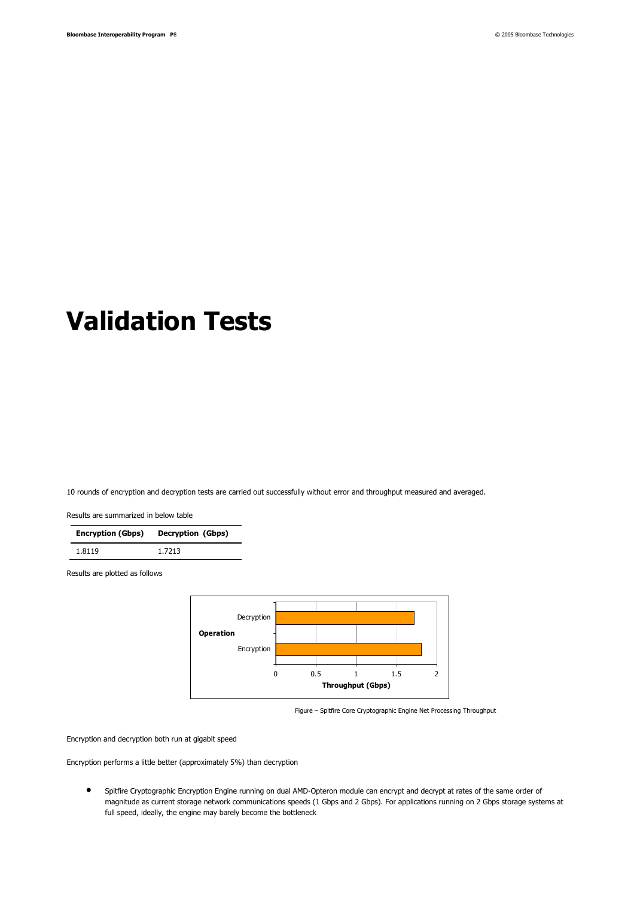# **Validation Tests**

10 rounds of encryption and decryption tests are carried out successfully without error and throughput measured and averaged.

Results are summarized in below table

| <b>Encryption (Gbps)</b> | Decryption (Gbps) |
|--------------------------|-------------------|
| 1.8119                   | 1.7213            |

Results are plotted as follows



Figure – Spitfire Core Cryptographic Engine Net Processing Throughput

Encryption and decryption both run at gigabit speed

Encryption performs a little better (approximately 5%) than decryption

● Spitfire Cryptographic Encryption Engine running on dual AMD-Opteron module can encrypt and decrypt at rates of the same order of magnitude as current storage network communications speeds (1 Gbps and 2 Gbps). For applications running on 2 Gbps storage systems at full speed, ideally, the engine may barely become the bottleneck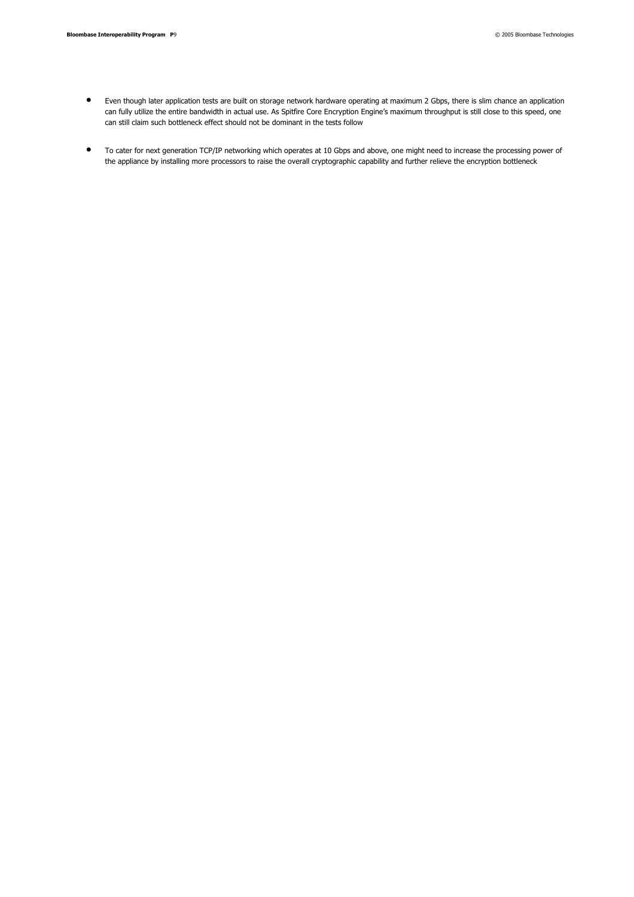- Even though later application tests are built on storage network hardware operating at maximum 2 Gbps, there is slim chance an application can fully utilize the entire bandwidth in actual use. As Spitfire Core Encryption Engine's maximum throughput is still close to this speed, one can still claim such bottleneck effect should not be dominant in the tests follow
- To cater for next generation TCP/IP networking which operates at 10 Gbps and above, one might need to increase the processing power of the appliance by installing more processors to raise the overall cryptographic capability and further relieve the encryption bottleneck